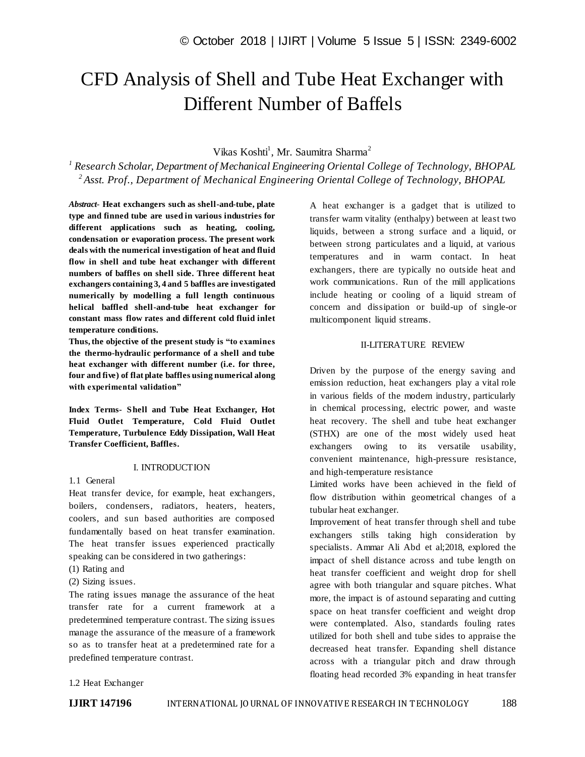# CFD Analysis of Shell and Tube Heat Exchanger with Different Number of Baffels

# Vikas Koshti<sup>1</sup>, Mr. Saumitra Sharma<sup>2</sup>

*1 Research Scholar, Department of Mechanical Engineering Oriental College of Technology, BHOPAL 2 Asst. Prof., Department of Mechanical Engineering Oriental College of Technology, BHOPAL*

*Abstract*- **Heat exchangers such as shell-and-tube, plate type and finned tube are used in various industries for different applications such as heating, cooling, condensation or evaporation process. The present work deals with the numerical investigation of heat and fluid flow in shell and tube heat exchanger with different numbers of baffles on shell side. Three different heat exchangers containing 3, 4 and 5 baffles are investigated numerically by modelling a full length continuous helical baffled shell-and-tube heat exchanger for constant mass flow rates and different cold fluid inlet temperature conditions.** 

**Thus, the objective of the present study is "to examines the thermo-hydraulic performance of a shell and tube heat exchanger with different number (i.e. for three, four and five) of flat plate baffles using numerical along with experimental validation"**

**Index Terms- Shell and Tube Heat Exchanger, Hot Fluid Outlet Temperature, Cold Fluid Outlet Temperature, Turbulence Eddy Dissipation, Wall Heat Transfer Coefficient, Baffles.**

# I. INTRODUCTION

### 1.1 General

Heat transfer device, for example, heat exchangers, boilers, condensers, radiators, heaters, heaters, coolers, and sun based authorities are composed fundamentally based on heat transfer examination. The heat transfer issues experienced practically speaking can be considered in two gatherings:

- (1) Rating and
- (2) Sizing issues.

The rating issues manage the assurance of the heat transfer rate for a current framework at a predetermined temperature contrast. The sizing issues manage the assurance of the measure of a framework so as to transfer heat at a predetermined rate for a predefined temperature contrast.

A heat exchanger is a gadget that is utilized to transfer warm vitality (enthalpy) between at least two liquids, between a strong surface and a liquid, or between strong particulates and a liquid, at various temperatures and in warm contact. In heat exchangers, there are typically no outside heat and work communications. Run of the mill applications include heating or cooling of a liquid stream of concern and dissipation or build-up of single-or multicomponent liquid streams.

# II-LITERATURE REVIEW

Driven by the purpose of the energy saving and emission reduction, heat exchangers play a vital role in various fields of the modern industry, particularly in chemical processing, electric power, and waste heat recovery. The shell and tube heat exchanger (STHX) are one of the most widely used heat exchangers owing to its versatile usability, convenient maintenance, high-pressure resistance, and high-temperature resistance

Limited works have been achieved in the field of flow distribution within geometrical changes of a tubular heat exchanger.

Improvement of heat transfer through shell and tube exchangers stills taking high consideration by specialists. Ammar Ali Abd et al;2018, explored the impact of shell distance across and tube length on heat transfer coefficient and weight drop for shell agree with both triangular and square pitches. What more, the impact is of astound separating and cutting space on heat transfer coefficient and weight drop were contemplated. Also, standards fouling rates utilized for both shell and tube sides to appraise the decreased heat transfer. Expanding shell distance across with a triangular pitch and draw through floating head recorded 3% expanding in heat transfer

## 1.2 Heat Exchanger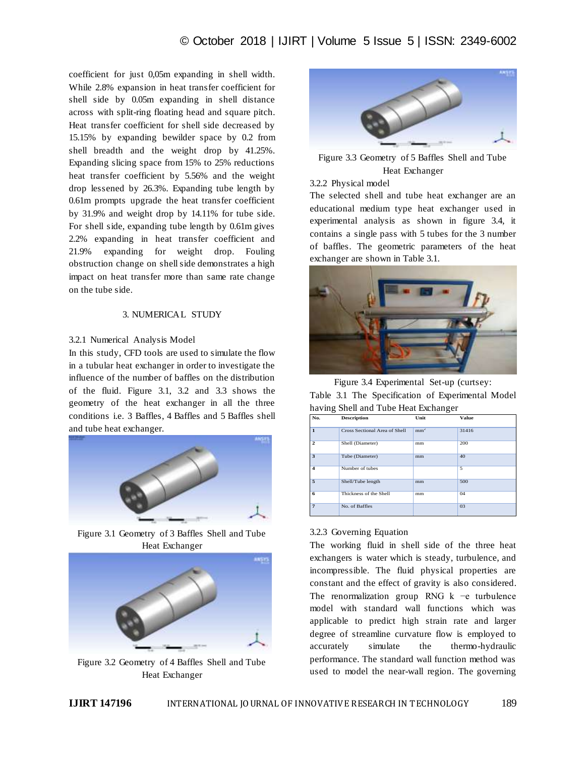coefficient for just 0,05m expanding in shell width. While 2.8% expansion in heat transfer coefficient for shell side by 0.05m expanding in shell distance across with split-ring floating head and square pitch. Heat transfer coefficient for shell side decreased by 15.15% by expanding bewilder space by 0.2 from shell breadth and the weight drop by 41.25%. Expanding slicing space from 15% to 25% reductions heat transfer coefficient by 5.56% and the weight drop lessened by 26.3%. Expanding tube length by 0.61m prompts upgrade the heat transfer coefficient by 31.9% and weight drop by 14.11% for tube side. For shell side, expanding tube length by 0.61m gives 2.2% expanding in heat transfer coefficient and 21.9% expanding for weight drop. Fouling obstruction change on shell side demonstrates a high impact on heat transfer more than same rate change on the tube side.

# 3. NUMERICAL STUDY

# 3.2.1 Numerical Analysis Model

In this study, CFD tools are used to simulate the flow in a tubular heat exchanger in order to investigate the influence of the number of baffles on the distribution of the fluid. Figure 3.1, 3.2 and 3.3 shows the geometry of the heat exchanger in all the three conditions i.e. 3 Baffles, 4 Baffles and 5 Baffles shell and tube heat exchanger.



Figure 3.1 Geometry of 3 Baffles Shell and Tube Heat Exchanger



Figure 3.2 Geometry of 4 Baffles Shell and Tube Heat Exchanger



Figure 3.3 Geometry of 5 Baffles Shell and Tube Heat Exchanger

## 3.2.2 Physical model

The selected shell and tube heat exchanger are an educational medium type heat exchanger used in experimental analysis as shown in figure 3.4, it contains a single pass with 5 tubes for the 3 number of baffles. The geometric parameters of the heat exchanger are shown in Table 3.1.



Figure 3.4 Experimental Set-up (curtsey: Table 3.1 The Specification of Experimental Model

|     | having Shell and Tube Heat Exchanger |      |       |
|-----|--------------------------------------|------|-------|
| No. | <b>Description</b>                   | Unit | Value |

|                         | Cross Sectional Area of Shell | mm <sup>2</sup> | 31416 |
|-------------------------|-------------------------------|-----------------|-------|
| $\mathbf{2}$            | Shell (Diameter)              | mm              | 200   |
| 3                       | Tube (Diameter)               | mm              | 40    |
| $\overline{\mathbf{4}}$ | Number of tubes               |                 | 5     |
| 5                       | Shell/Tube length             | mm              | 500   |
| 6                       | Thickness of the Shell        | mm              | 04    |
| 7                       | No. of Baffles                |                 | 03    |

## 3.2.3 Governing Equation

The working fluid in shell side of the three heat exchangers is water which is steady, turbulence, and incompressible. The fluid physical properties are constant and the effect of gravity is also considered. The renormalization group RNG k −e turbulence model with standard wall functions which was applicable to predict high strain rate and larger degree of streamline curvature flow is employed to accurately simulate the thermo-hydraulic performance. The standard wall function method was used to model the near-wall region. The governing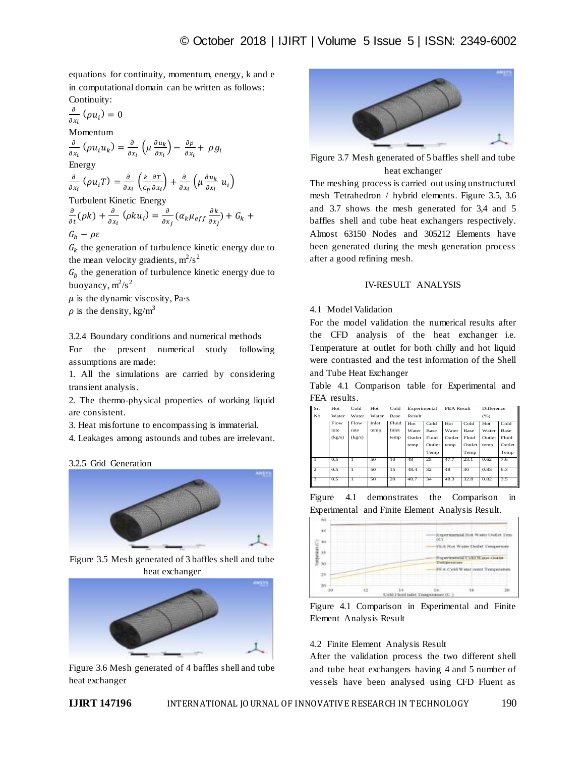equations for continuity, momentum, energy, k and e in computational domain can be written as follows: Continuity:

$$
\frac{\partial}{\partial x_i} (\rho u_i) = 0
$$
  
Momentum  

$$
\frac{\partial}{\partial x_i} (\rho u_i u_k) = \frac{\partial}{\partial x_i} \left( \mu \frac{\partial u_k}{\partial x_i} \right) - \frac{\partial p}{\partial x_i} + \rho g_i
$$
  
Energy  

$$
\frac{\partial}{\partial x_i} (\rho u_i T) = \frac{\partial}{\partial x_i} \left( \frac{k}{c_p} \frac{\partial T}{\partial x_i} \right) + \frac{\partial}{\partial x_i} \left( \mu \frac{\partial u_k}{\partial x_i} u_i \right)
$$
  
Turbulent Kinetic Energy

$$
\frac{\partial}{\partial t}(\rho k) + \frac{\partial}{\partial x_i}(\rho k u_i) = \frac{\partial}{\partial x_j}(\alpha_k \mu_{eff} \frac{\partial k}{\partial x_j}) + G_k +
$$
  

$$
G_b - \rho \varepsilon
$$

 $G_k$  the generation of turbulence kinetic energy due to the mean velocity gradients,  $m^2/s^2$ 

 $G_h$  the generation of turbulence kinetic energy due to buoyancy,  $m^2/s^2$ 

 $\mu$  is the dynamic viscosity, Pa·s  $\rho$  is the density, kg/m<sup>3</sup>

3.2.4 Boundary conditions and numerical methods

For the present numerical study following assumptions are made:

1. All the simulations are carried by considering transient analysis.

2. The thermo-physical properties of working liquid are consistent.

3. Heat misfortune to encompassing is immaterial.

4. Leakages among astounds and tubes are irrelevant.

3.2.5 Grid Generation



Figure 3.5 Mesh generated of 3 baffles shell and tube heat exchanger



Figure 3.6 Mesh generated of 4 baffles shell and tube heat exchanger



Figure 3.7 Mesh generated of 5 baffles shell and tube heat exchanger

The meshing process is carried out using unstructured mesh Tetrahedron / hybrid elements. Figure 3.5, 3.6 and 3.7 shows the mesh generated for 3,4 and 5 baffles shell and tube heat exchangers respectively. Almost 63150 Nodes and 305212 Elements have been generated during the mesh generation process after a good refining mesh.

# IV-RESULT ANALYSIS

# 4.1 Model Validation

For the model validation the numerical results after the CFD analysis of the heat exchanger i.e. Temperature at outlet for both chilly and hot liquid were contrasted and the test information of the Shell and Tube Heat Exchanger

Table 4.1 Comparison table for Experimental and FEA results.

| Sr.                     | Hot    | Cold   | Hot   | Cold  | Experimental   |       | FEA Result |        | Difference |        |
|-------------------------|--------|--------|-------|-------|----------------|-------|------------|--------|------------|--------|
| No.                     | Water  | Water  | Water | Base  | Result         |       |            |        | (96)       |        |
|                         | Flow   | Flow   | Inlet | Fluid | Hot            | Cold  | Hot        | Cold   | Hot        | Cold   |
|                         | rate   | rate   | temp  | Inlet | Water          | Base  | Water      | Base   | Water      | Base   |
|                         | (kg/s) | (kg/s) |       | temp  | Outlet         | Fluid |            | Fluid  | Outlet     | Fluid  |
|                         |        |        |       |       | Outlet<br>temp |       | temp       | Outlet | temp       | Outlet |
|                         |        |        |       |       |                | Temp  |            | Temp   |            | Temp   |
| $\overline{1}$          | 0.5    |        | 50    | 10    | 48             | 25    | 47.7       | 23.1   | 0.62       | 7.6    |
| $\mathcal{D}$           | 0.5    | 1      | 50    | 15    | 48.4           | 32    | 48         | 30     | 0.83       | 6.3    |
| $\overline{\mathbf{3}}$ | 0.5    | 1      | 50    | 20    | 48.7           | 34    | 48.3       | 32.8   | 0.82       | 3.5    |





Figure 4.1 Comparison in Experimental and Finite Element Analysis Result

# 4.2 Finite Element Analysis Result

After the validation process the two different shell and tube heat exchangers having 4 and 5 number of vessels have been analysed using CFD Fluent as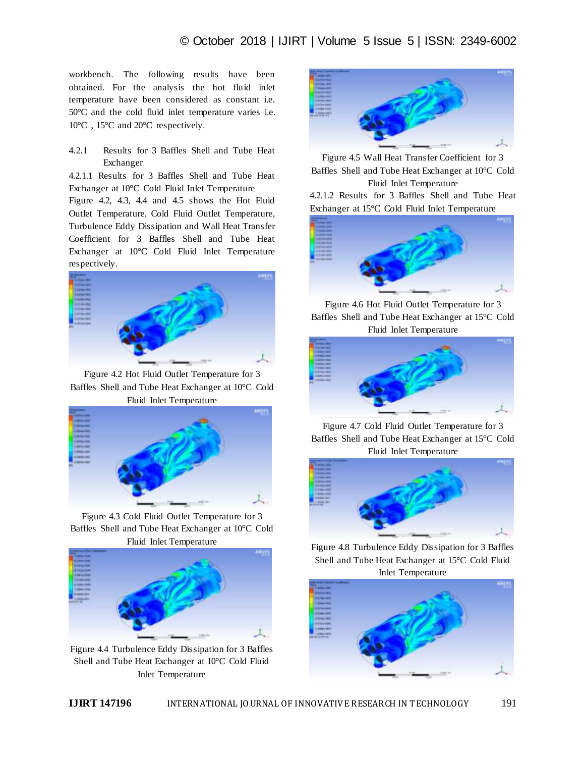workbench. The following results have been obtained. For the analysis the hot fluid inlet temperature have been considered as constant i.e. 50°C and the cold fluid inlet temperature varies i.e. 10°C , 15°C and 20°C respectively.

4.2.1 Results for 3 Baffles Shell and Tube Heat Exchanger

4.2.1.1 Results for 3 Baffles Shell and Tube Heat Exchanger at 10°C Cold Fluid Inlet Temperature

Figure 4.2, 4.3, 4.4 and 4.5 shows the Hot Fluid Outlet Temperature, Cold Fluid Outlet Temperature, Turbulence Eddy Dissipation and Wall Heat Transfer Coefficient for 3 Baffles Shell and Tube Heat Exchanger at 10°C Cold Fluid Inlet Temperature respectively.



Figure 4.2 Hot Fluid Outlet Temperature for 3 Baffles Shell and Tube Heat Exchanger at 10°C Cold Fluid Inlet Temperature



Figure 4.3 Cold Fluid Outlet Temperature for 3 Baffles Shell and Tube Heat Exchanger at 10°C Cold Fluid Inlet Temperature



Figure 4.4 Turbulence Eddy Dissipation for 3 Baffles Shell and Tube Heat Exchanger at 10°C Cold Fluid Inlet Temperature



Figure 4.5 Wall Heat Transfer Coefficient for 3 Baffles Shell and Tube Heat Exchanger at 10°C Cold Fluid Inlet Temperature

4.2.1.2 Results for 3 Baffles Shell and Tube Heat Exchanger at 15°C Cold Fluid Inlet Temperature



Figure 4.6 Hot Fluid Outlet Temperature for 3 Baffles Shell and Tube Heat Exchanger at 15°C Cold Fluid Inlet Temperature



Figure 4.7 Cold Fluid Outlet Temperature for 3 Baffles Shell and Tube Heat Exchanger at 15°C Cold Fluid Inlet Temperature



Figure 4.8 Turbulence Eddy Dissipation for 3 Baffles Shell and Tube Heat Exchanger at 15°C Cold Fluid Inlet Temperature

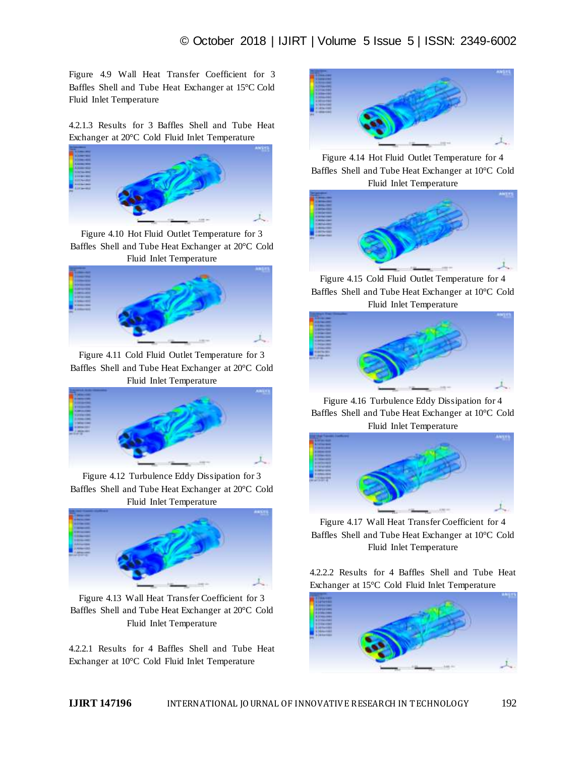Figure 4.9 Wall Heat Transfer Coefficient for 3 Baffles Shell and Tube Heat Exchanger at 15°C Cold Fluid Inlet Temperature

4.2.1.3 Results for 3 Baffles Shell and Tube Heat Exchanger at 20°C Cold Fluid Inlet Temperature



Figure 4.10 Hot Fluid Outlet Temperature for 3 Baffles Shell and Tube Heat Exchanger at 20°C Cold Fluid Inlet Temperature



Figure 4.11 Cold Fluid Outlet Temperature for 3 Baffles Shell and Tube Heat Exchanger at 20°C Cold Fluid Inlet Temperature



Figure 4.12 Turbulence Eddy Dissipation for 3 Baffles Shell and Tube Heat Exchanger at 20°C Cold Fluid Inlet Temperature



Figure 4.13 Wall Heat Transfer Coefficient for 3 Baffles Shell and Tube Heat Exchanger at 20°C Cold Fluid Inlet Temperature

4.2.2.1 Results for 4 Baffles Shell and Tube Heat Exchanger at 10°C Cold Fluid Inlet Temperature



Figure 4.14 Hot Fluid Outlet Temperature for 4 Baffles Shell and Tube Heat Exchanger at 10°C Cold Fluid Inlet Temperature



Figure 4.15 Cold Fluid Outlet Temperature for 4 Baffles Shell and Tube Heat Exchanger at 10°C Cold Fluid Inlet Temperature



Figure 4.16 Turbulence Eddy Dissipation for 4 Baffles Shell and Tube Heat Exchanger at 10°C Cold Fluid Inlet Temperature



Figure 4.17 Wall Heat Transfer Coefficient for 4 Baffles Shell and Tube Heat Exchanger at 10°C Cold Fluid Inlet Temperature

4.2.2.2 Results for 4 Baffles Shell and Tube Heat Exchanger at 15°C Cold Fluid Inlet Temperature

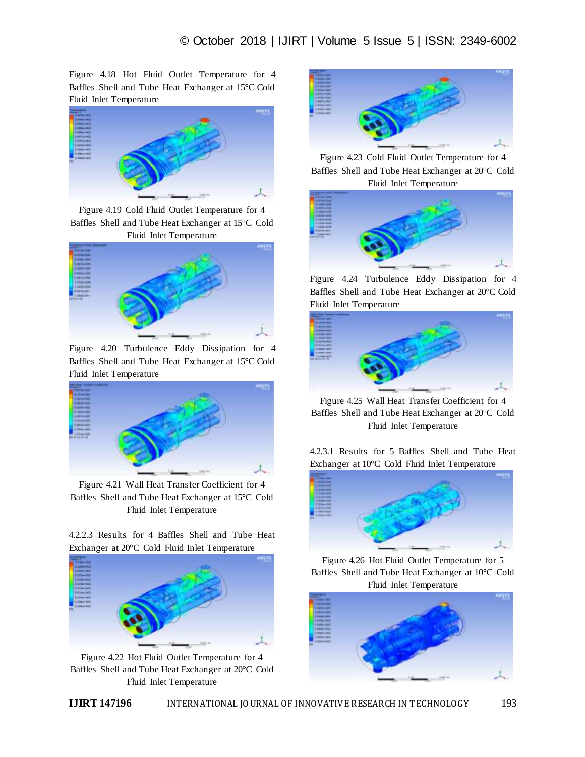Figure 4.18 Hot Fluid Outlet Temperature for 4 Baffles Shell and Tube Heat Exchanger at 15°C Cold Fluid Inlet Temperature



Figure 4.19 Cold Fluid Outlet Temperature for 4 Baffles Shell and Tube Heat Exchanger at 15°C Cold Fluid Inlet Temperature



Figure 4.20 Turbulence Eddy Dissipation for 4 Baffles Shell and Tube Heat Exchanger at 15°C Cold Fluid Inlet Temperature



Figure 4.21 Wall Heat Transfer Coefficient for 4 Baffles Shell and Tube Heat Exchanger at 15°C Cold Fluid Inlet Temperature

4.2.2.3 Results for 4 Baffles Shell and Tube Heat Exchanger at 20°C Cold Fluid Inlet Temperature



Figure 4.22 Hot Fluid Outlet Temperature for 4 Baffles Shell and Tube Heat Exchanger at 20°C Cold Fluid Inlet Temperature



Figure 4.23 Cold Fluid Outlet Temperature for 4 Baffles Shell and Tube Heat Exchanger at 20°C Cold Fluid Inlet Temperature



Figure 4.24 Turbulence Eddy Dissipation for 4 Baffles Shell and Tube Heat Exchanger at 20°C Cold Fluid Inlet Temperature



Figure 4.25 Wall Heat Transfer Coefficient for 4 Baffles Shell and Tube Heat Exchanger at 20°C Cold Fluid Inlet Temperature

4.2.3.1 Results for 5 Baffles Shell and Tube Heat Exchanger at 10°C Cold Fluid Inlet Temperature



Figure 4.26 Hot Fluid Outlet Temperature for 5 Baffles Shell and Tube Heat Exchanger at 10°C Cold Fluid Inlet Temperature

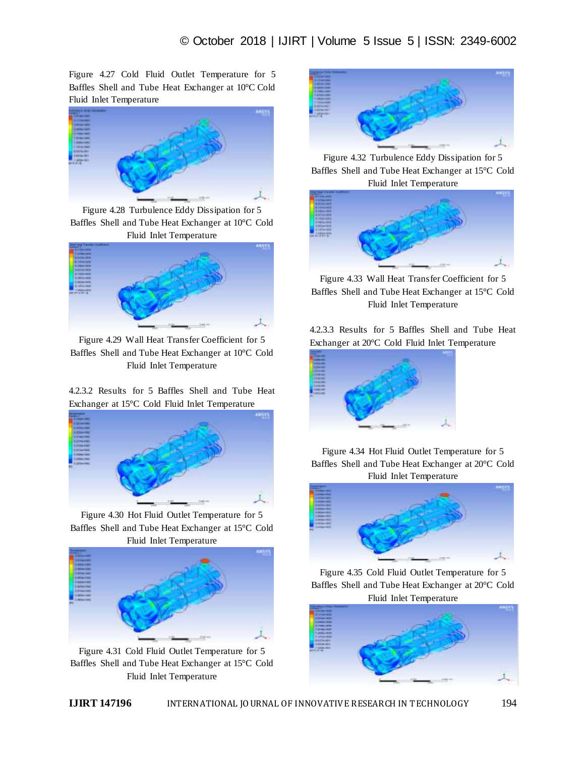Figure 4.27 Cold Fluid Outlet Temperature for 5 Baffles Shell and Tube Heat Exchanger at 10°C Cold Fluid Inlet Temperature



Figure 4.28 Turbulence Eddy Dissipation for 5 Baffles Shell and Tube Heat Exchanger at 10°C Cold Fluid Inlet Temperature



Figure 4.29 Wall Heat Transfer Coefficient for 5 Baffles Shell and Tube Heat Exchanger at 10°C Cold Fluid Inlet Temperature

4.2.3.2 Results for 5 Baffles Shell and Tube Heat Exchanger at 15°C Cold Fluid Inlet Temperature



Figure 4.30 Hot Fluid Outlet Temperature for 5 Baffles Shell and Tube Heat Exchanger at 15°C Cold Fluid Inlet Temperature



Figure 4.31 Cold Fluid Outlet Temperature for 5 Baffles Shell and Tube Heat Exchanger at 15°C Cold Fluid Inlet Temperature



Figure 4.32 Turbulence Eddy Dissipation for 5 Baffles Shell and Tube Heat Exchanger at 15°C Cold Fluid Inlet Temperature



Figure 4.33 Wall Heat Transfer Coefficient for 5 Baffles Shell and Tube Heat Exchanger at 15°C Cold Fluid Inlet Temperature

4.2.3.3 Results for 5 Baffles Shell and Tube Heat Exchanger at 20°C Cold Fluid Inlet Temperature



Figure 4.34 Hot Fluid Outlet Temperature for 5 Baffles Shell and Tube Heat Exchanger at 20°C Cold Fluid Inlet Temperature



Figure 4.35 Cold Fluid Outlet Temperature for 5 Baffles Shell and Tube Heat Exchanger at 20°C Cold Fluid Inlet Temperature

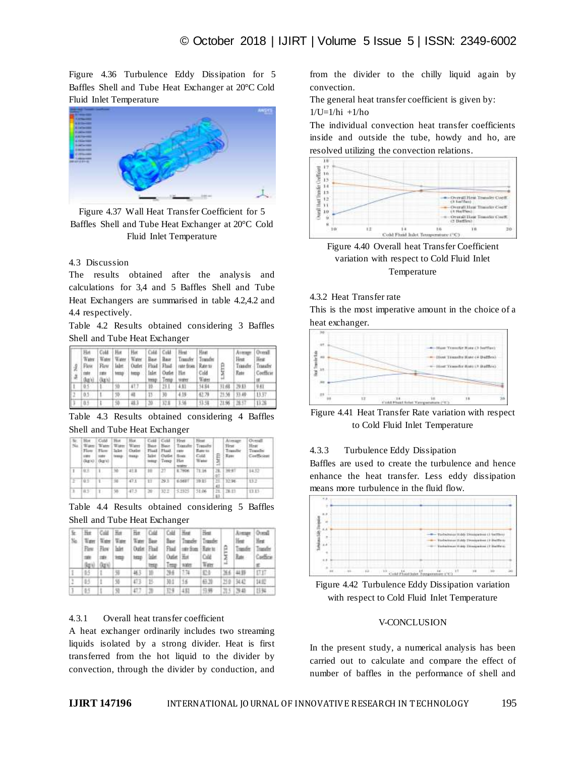Figure 4.36 Turbulence Eddy Dissipation for 5 Baffles Shell and Tube Heat Exchanger at 20°C Cold Fluid Inlet Temperature



Figure 4.37 Wall Heat Transfer Coefficient for 5 Baffles Shell and Tube Heat Exchanger at 20°C Cold Fluid Inlet Temperature

# 4.3 Discussion

The results obtained after the analysis and calculations for 3,4 and 5 Baffles Shell and Tube Heat Exchangers are summarised in table 4.2,4.2 and 4.4 respectively.

Table 4.2 Results obtained considering 3 Baffles Shell and Tube Heat Exchanger

| rme :<br>(ka's) | Hat Cold Hat<br>" (kg/s) x | tate tong | torp Inlet Outlet Him |        | temp   Temp   trater | Hot Cold Cold Heat<br>Water Water Water Water Base Base Transfer Transfer<br>Flow   Flow   Jalet   Outlet   Fluid   Fluid   rate from   Rate to | Hest<br>Cold<br>Water | LMTD | Avenue<br>Heat:<br>Rate | Overall<br>Heat<br>Transfer Transfer<br>Coefficie |
|-----------------|----------------------------|-----------|-----------------------|--------|----------------------|-------------------------------------------------------------------------------------------------------------------------------------------------|-----------------------|------|-------------------------|---------------------------------------------------|
|                 |                            | 10        | 47.7                  | $10 -$ | $23.1 - 4.13$        |                                                                                                                                                 | 54.84                 |      | 其8 29日                  | 9.61                                              |
| 0.5             |                            | 10        | H.                    | $15 -$ | 33                   | 4.19                                                                                                                                            | 42.79                 |      | 25.56 13.49             | 13.37                                             |
| 0.5             |                            | 50        | 48.3                  | $10 -$ |                      | 32.8 1.56                                                                                                                                       | 33.58                 |      | 21.96 18.57             | 13:38                                             |

Table 4.3 Results obtained considering 4 Baffles Shell and Tube Heat Exchanger

| No | <b>Hist</b><br>1 Water<br><b>Flass</b><br><b>LIBRER</b><br>(kg/c)   (kg/c) | Culd Hist<br>Flow<br>suse: | Water   Water<br>texas   music | Hot:<br>Ware<br>Inilet   Digitat | Bare Base<br>Isiked<br>istor. | Cell Cold<br>Flash Flash, cate<br>Outlet   fires<br>Tenap | Heat<br>Transfer<br>Ham<br><b>SHEETS</b> | <b>Heat</b><br>Tresider<br>Rate to:<br>Cold<br>Weigi | 1.METO | Float<br>Transfer<br><b>Hass</b> | Overall<br>Heat<br>Trander<br>Confficient |
|----|----------------------------------------------------------------------------|----------------------------|--------------------------------|----------------------------------|-------------------------------|-----------------------------------------------------------|------------------------------------------|------------------------------------------------------|--------|----------------------------------|-------------------------------------------|
| 1  | 有限                                                                         |                            | w                              | 41.8                             | $10^{-1}$                     | 23                                                        | E.7906                                   | 78.36                                                |        | 28.13647                         | 14.52                                     |
| Ξ  | <b>CARD IN</b><br>$10 -$                                                   |                            |                                |                                  | $11 -$                        | RURICHT<br>29.3                                           | 6,5697                                   | 19.95                                                | 43     |                                  | 13.2                                      |
| в  | 857                                                                        | T.                         | 50                             | 47.5                             | 201                           |                                                           | 322 5.2325                               | 31.06                                                | 63.1   | 21. 第28                          | <b>BB</b>                                 |

Table 4.4 Results obtained considering 5 Baffles Shell and Tube Heat Exchanger

|    | 1990 1991 9993 | Flow How lake | temp linke | tens |                | He Cold Her Har Cold Cold Heat Heat<br>No. Water Water Water Water Base Base Transfer Transfer<br>Outlet Fluid Fluid one-from Rate to<br>Outlet Hot<br>Team   sales | Cold<br>Tier    | Heat:<br>Rate: | Atmar Overd<br>first:<br>Cardica |
|----|----------------|---------------|------------|------|----------------|---------------------------------------------------------------------------------------------------------------------------------------------------------------------|-----------------|----------------|----------------------------------|
|    |                |               |            |      | 463 10 196 173 |                                                                                                                                                                     | 324             | 366 44 55      | <b>Inn</b>                       |
| B5 |                | 35            | 473 15     |      | 30.1 56        |                                                                                                                                                                     | 43.20           | 210 3442       | 14.07                            |
|    |                |               | 177        |      | D4 48          |                                                                                                                                                                     | <b>日時 四5 西島</b> |                | 1134                             |

## 4.3.1 Overall heat transfer coefficient

A heat exchanger ordinarily includes two streaming liquids isolated by a strong divider. Heat is first transferred from the hot liquid to the divider by convection, through the divider by conduction, and

from the divider to the chilly liquid again by convection.

The general heat transfer coefficient is given by:

 $1/U=1/hi +1/ho$ 

The individual convection heat transfer coefficients inside and outside the tube, howdy and ho, are resolved utilizing the convection relations.



Figure 4.40 Overall heat Transfer Coefficient variation with respect to Cold Fluid Inlet Temperature

# 4.3.2 Heat Transfer rate

This is the most imperative amount in the choice of a heat exchanger.



Figure 4.41 Heat Transfer Rate variation with respect to Cold Fluid Inlet Temperature

#### 4.3.3 Turbulence Eddy Dissipation

Baffles are used to create the turbulence and hence enhance the heat transfer. Less eddy dissipation means more turbulence in the fluid flow.



Figure 4.42 Turbulence Eddy Dissipation variation with respect to Cold Fluid Inlet Temperature

#### V-CONCLUSION

In the present study, a numerical analysis has been carried out to calculate and compare the effect of number of baffles in the performance of shell and